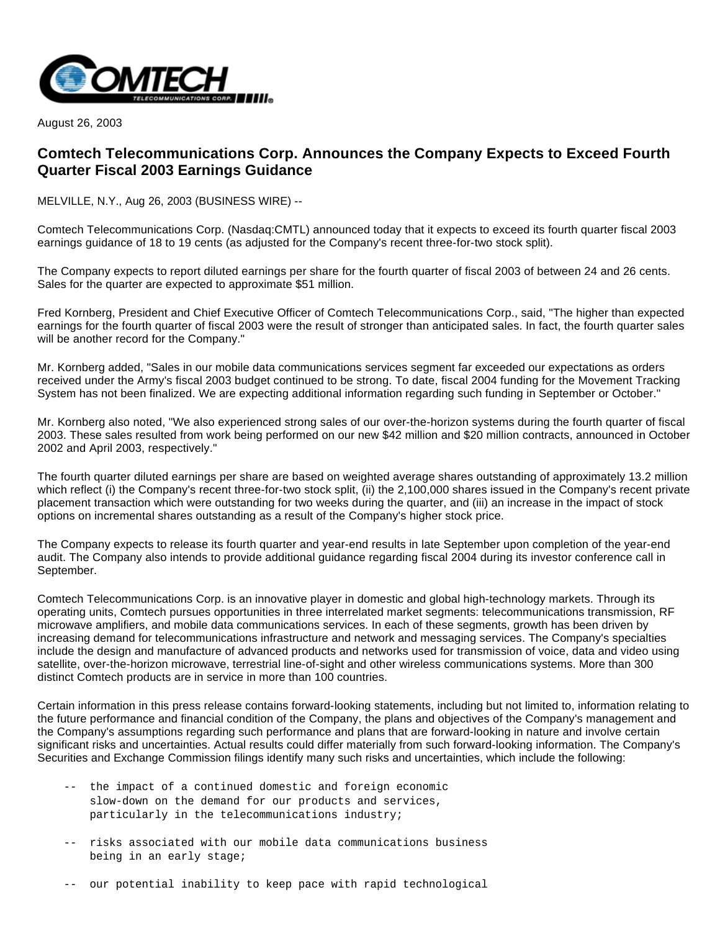

August 26, 2003

## **Comtech Telecommunications Corp. Announces the Company Expects to Exceed Fourth Quarter Fiscal 2003 Earnings Guidance**

MELVILLE, N.Y., Aug 26, 2003 (BUSINESS WIRE) --

Comtech Telecommunications Corp. (Nasdaq:CMTL) announced today that it expects to exceed its fourth quarter fiscal 2003 earnings guidance of 18 to 19 cents (as adjusted for the Company's recent three-for-two stock split).

The Company expects to report diluted earnings per share for the fourth quarter of fiscal 2003 of between 24 and 26 cents. Sales for the quarter are expected to approximate \$51 million.

Fred Kornberg, President and Chief Executive Officer of Comtech Telecommunications Corp., said, "The higher than expected earnings for the fourth quarter of fiscal 2003 were the result of stronger than anticipated sales. In fact, the fourth quarter sales will be another record for the Company."

Mr. Kornberg added, "Sales in our mobile data communications services segment far exceeded our expectations as orders received under the Army's fiscal 2003 budget continued to be strong. To date, fiscal 2004 funding for the Movement Tracking System has not been finalized. We are expecting additional information regarding such funding in September or October."

Mr. Kornberg also noted, "We also experienced strong sales of our over-the-horizon systems during the fourth quarter of fiscal 2003. These sales resulted from work being performed on our new \$42 million and \$20 million contracts, announced in October 2002 and April 2003, respectively."

The fourth quarter diluted earnings per share are based on weighted average shares outstanding of approximately 13.2 million which reflect (i) the Company's recent three-for-two stock split, (ii) the 2,100,000 shares issued in the Company's recent private placement transaction which were outstanding for two weeks during the quarter, and (iii) an increase in the impact of stock options on incremental shares outstanding as a result of the Company's higher stock price.

The Company expects to release its fourth quarter and year-end results in late September upon completion of the year-end audit. The Company also intends to provide additional guidance regarding fiscal 2004 during its investor conference call in September.

Comtech Telecommunications Corp. is an innovative player in domestic and global high-technology markets. Through its operating units, Comtech pursues opportunities in three interrelated market segments: telecommunications transmission, RF microwave amplifiers, and mobile data communications services. In each of these segments, growth has been driven by increasing demand for telecommunications infrastructure and network and messaging services. The Company's specialties include the design and manufacture of advanced products and networks used for transmission of voice, data and video using satellite, over-the-horizon microwave, terrestrial line-of-sight and other wireless communications systems. More than 300 distinct Comtech products are in service in more than 100 countries.

Certain information in this press release contains forward-looking statements, including but not limited to, information relating to the future performance and financial condition of the Company, the plans and objectives of the Company's management and the Company's assumptions regarding such performance and plans that are forward-looking in nature and involve certain significant risks and uncertainties. Actual results could differ materially from such forward-looking information. The Company's Securities and Exchange Commission filings identify many such risks and uncertainties, which include the following:

- -- the impact of a continued domestic and foreign economic slow-down on the demand for our products and services, particularly in the telecommunications industry;
- -- risks associated with our mobile data communications business being in an early stage;